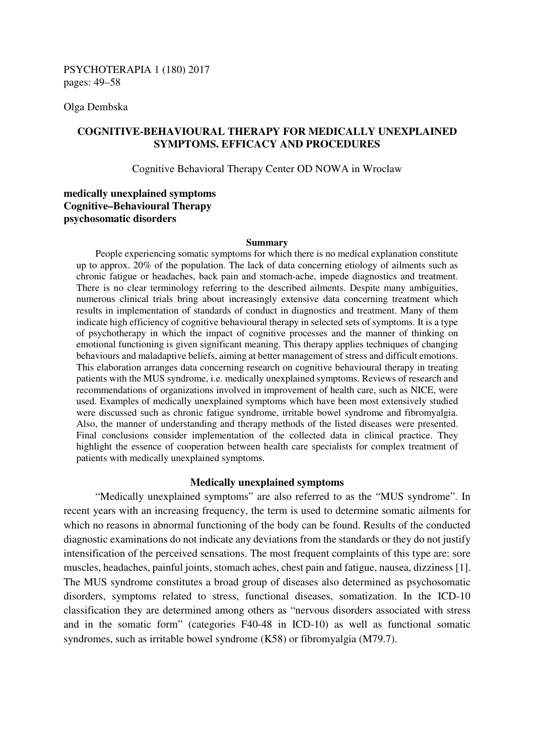Olga Dembska

# **COGNITIVE-BEHAVIOURAL THERAPY FOR MEDICALLY UNEXPLAINED SYMPTOMS. EFFICACY AND PROCEDURES**

Cognitive Behavioral Therapy Center OD NOWA in Wroclaw

# **medically unexplained symptoms Cognitive–Behavioural Therapy psychosomatic disorders**

#### **Summary**

People experiencing somatic symptoms for which there is no medical explanation constitute up to approx. 20% of the population. The lack of data concerning etiology of ailments such as chronic fatigue or headaches, back pain and stomach-ache, impede diagnostics and treatment. There is no clear terminology referring to the described ailments. Despite many ambiguities, numerous clinical trials bring about increasingly extensive data concerning treatment which results in implementation of standards of conduct in diagnostics and treatment. Many of them indicate high efficiency of cognitive behavioural therapy in selected sets of symptoms. It is a type of psychotherapy in which the impact of cognitive processes and the manner of thinking on emotional functioning is given significant meaning. This therapy applies techniques of changing behaviours and maladaptive beliefs, aiming at better management of stress and difficult emotions. This elaboration arranges data concerning research on cognitive behavioural therapy in treating patients with the MUS syndrome, i.e. medically unexplained symptoms. Reviews of research and recommendations of organizations involved in improvement of health care, such as NICE, were used. Examples of medically unexplained symptoms which have been most extensively studied were discussed such as chronic fatigue syndrome, irritable bowel syndrome and fibromyalgia. Also, the manner of understanding and therapy methods of the listed diseases were presented. Final conclusions consider implementation of the collected data in clinical practice. They highlight the essence of cooperation between health care specialists for complex treatment of patients with medically unexplained symptoms.

### **Medically unexplained symptoms**

"Medically unexplained symptoms" are also referred to as the "MUS syndrome". In recent years with an increasing frequency, the term is used to determine somatic ailments for which no reasons in abnormal functioning of the body can be found. Results of the conducted diagnostic examinations do not indicate any deviations from the standards or they do not justify intensification of the perceived sensations. The most frequent complaints of this type are: sore muscles, headaches, painful joints, stomach aches, chest pain and fatigue, nausea, dizziness [1]. The MUS syndrome constitutes a broad group of diseases also determined as psychosomatic disorders, symptoms related to stress, functional diseases, somatization. In the ICD-10 classification they are determined among others as "nervous disorders associated with stress and in the somatic form" (categories F40-48 in ICD-10) as well as functional somatic syndromes, such as irritable bowel syndrome (K58) or fibromyalgia (M79.7).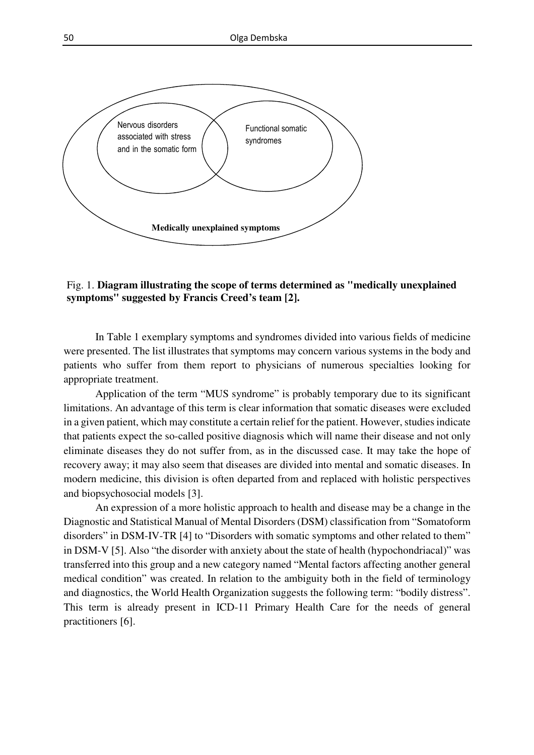

Fig. 1. **Diagram illustrating the scope of terms determined as "medically unexplained symptoms" suggested by Francis Creed's team [2].** 

In Table 1 exemplary symptoms and syndromes divided into various fields of medicine were presented. The list illustrates that symptoms may concern various systems in the body and patients who suffer from them report to physicians of numerous specialties looking for appropriate treatment.

Application of the term "MUS syndrome" is probably temporary due to its significant limitations. An advantage of this term is clear information that somatic diseases were excluded in a given patient, which may constitute a certain relief for the patient. However, studies indicate that patients expect the so-called positive diagnosis which will name their disease and not only eliminate diseases they do not suffer from, as in the discussed case. It may take the hope of recovery away; it may also seem that diseases are divided into mental and somatic diseases. In modern medicine, this division is often departed from and replaced with holistic perspectives and biopsychosocial models [3].

An expression of a more holistic approach to health and disease may be a change in the Diagnostic and Statistical Manual of Mental Disorders (DSM) classification from "Somatoform disorders" in DSM-IV-TR [4] to "Disorders with somatic symptoms and other related to them" in DSM-V [5]. Also "the disorder with anxiety about the state of health (hypochondriacal)" was transferred into this group and a new category named "Mental factors affecting another general medical condition" was created. In relation to the ambiguity both in the field of terminology and diagnostics, the World Health Organization suggests the following term: "bodily distress". This term is already present in ICD-11 Primary Health Care for the needs of general practitioners [6].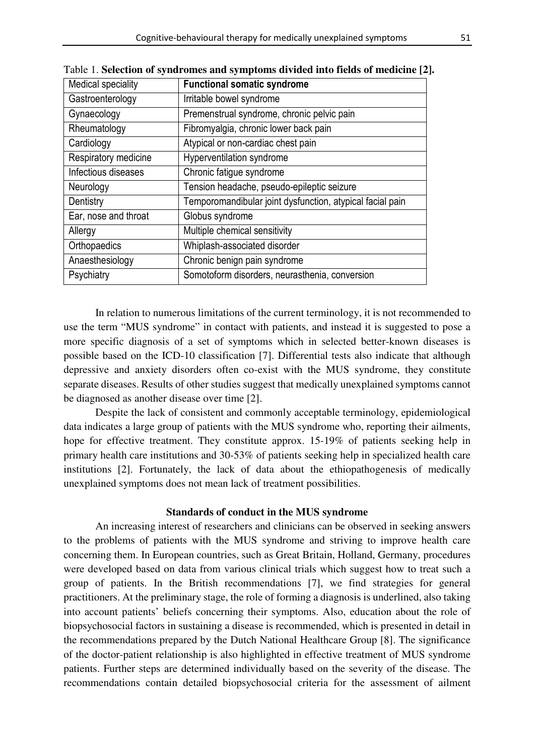| Medical speciality   | <b>Functional somatic syndrome</b>                        |
|----------------------|-----------------------------------------------------------|
| Gastroenterology     | Irritable bowel syndrome                                  |
| Gynaecology          | Premenstrual syndrome, chronic pelvic pain                |
| Rheumatology         | Fibromyalgia, chronic lower back pain                     |
| Cardiology           | Atypical or non-cardiac chest pain                        |
| Respiratory medicine | Hyperventilation syndrome                                 |
| Infectious diseases  | Chronic fatigue syndrome                                  |
| Neurology            | Tension headache, pseudo-epileptic seizure                |
| Dentistry            | Temporomandibular joint dysfunction, atypical facial pain |
| Ear, nose and throat | Globus syndrome                                           |
| Allergy              | Multiple chemical sensitivity                             |
| Orthopaedics         | Whiplash-associated disorder                              |
| Anaesthesiology      | Chronic benign pain syndrome                              |
| Psychiatry           | Somotoform disorders, neurasthenia, conversion            |

Table 1. **Selection of syndromes and symptoms divided into fields of medicine [2].** 

In relation to numerous limitations of the current terminology, it is not recommended to use the term "MUS syndrome" in contact with patients, and instead it is suggested to pose a more specific diagnosis of a set of symptoms which in selected better-known diseases is possible based on the ICD-10 classification [7]. Differential tests also indicate that although depressive and anxiety disorders often co-exist with the MUS syndrome, they constitute separate diseases. Results of other studies suggest that medically unexplained symptoms cannot be diagnosed as another disease over time [2].

Despite the lack of consistent and commonly acceptable terminology, epidemiological data indicates a large group of patients with the MUS syndrome who, reporting their ailments, hope for effective treatment. They constitute approx. 15-19% of patients seeking help in primary health care institutions and 30-53% of patients seeking help in specialized health care institutions [2]. Fortunately, the lack of data about the ethiopathogenesis of medically unexplained symptoms does not mean lack of treatment possibilities.

### **Standards of conduct in the MUS syndrome**

An increasing interest of researchers and clinicians can be observed in seeking answers to the problems of patients with the MUS syndrome and striving to improve health care concerning them. In European countries, such as Great Britain, Holland, Germany, procedures were developed based on data from various clinical trials which suggest how to treat such a group of patients. In the British recommendations [7], we find strategies for general practitioners. At the preliminary stage, the role of forming a diagnosis is underlined, also taking into account patients' beliefs concerning their symptoms. Also, education about the role of biopsychosocial factors in sustaining a disease is recommended, which is presented in detail in the recommendations prepared by the Dutch National Healthcare Group [8]. The significance of the doctor-patient relationship is also highlighted in effective treatment of MUS syndrome patients. Further steps are determined individually based on the severity of the disease. The recommendations contain detailed biopsychosocial criteria for the assessment of ailment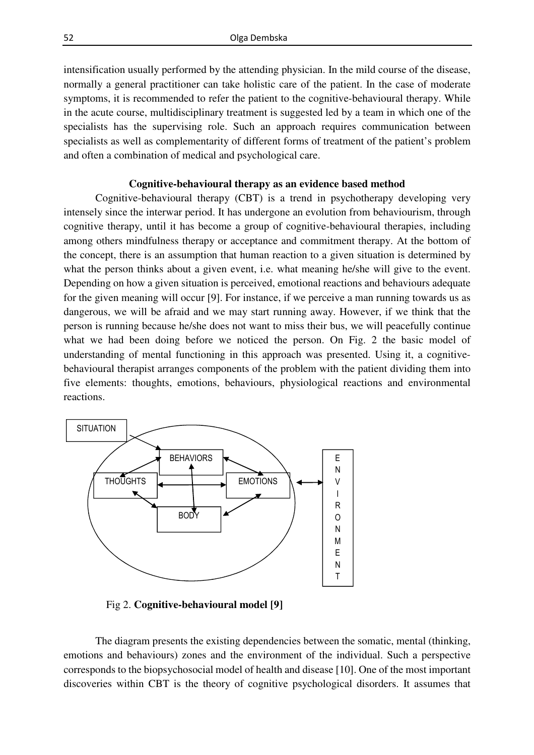intensification usually performed by the attending physician. In the mild course of the disease, normally a general practitioner can take holistic care of the patient. In the case of moderate symptoms, it is recommended to refer the patient to the cognitive-behavioural therapy. While in the acute course, multidisciplinary treatment is suggested led by a team in which one of the specialists has the supervising role. Such an approach requires communication between specialists as well as complementarity of different forms of treatment of the patient's problem and often a combination of medical and psychological care.

### **Cognitive-behavioural therapy as an evidence based method**

Cognitive-behavioural therapy (CBT) is a trend in psychotherapy developing very intensely since the interwar period. It has undergone an evolution from behaviourism, through cognitive therapy, until it has become a group of cognitive-behavioural therapies, including among others mindfulness therapy or acceptance and commitment therapy. At the bottom of the concept, there is an assumption that human reaction to a given situation is determined by what the person thinks about a given event, i.e. what meaning he/she will give to the event. Depending on how a given situation is perceived, emotional reactions and behaviours adequate for the given meaning will occur [9]. For instance, if we perceive a man running towards us as dangerous, we will be afraid and we may start running away. However, if we think that the person is running because he/she does not want to miss their bus, we will peacefully continue what we had been doing before we noticed the person. On Fig. 2 the basic model of understanding of mental functioning in this approach was presented. Using it, a cognitivebehavioural therapist arranges components of the problem with the patient dividing them into five elements: thoughts, emotions, behaviours, physiological reactions and environmental reactions.



Fig 2. **Cognitive-behavioural model [9]** 

The diagram presents the existing dependencies between the somatic, mental (thinking, emotions and behaviours) zones and the environment of the individual. Such a perspective corresponds to the biopsychosocial model of health and disease [10]. One of the most important discoveries within CBT is the theory of cognitive psychological disorders. It assumes that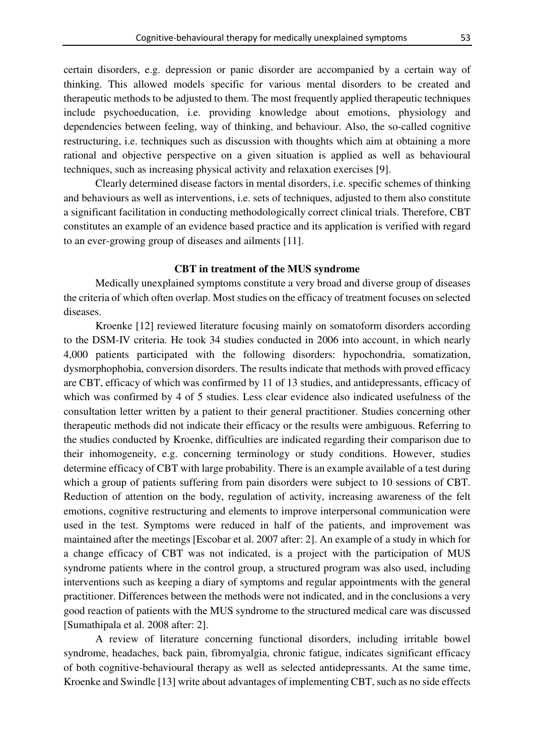certain disorders, e.g. depression or panic disorder are accompanied by a certain way of thinking. This allowed models specific for various mental disorders to be created and therapeutic methods to be adjusted to them. The most frequently applied therapeutic techniques include psychoeducation, i.e. providing knowledge about emotions, physiology and dependencies between feeling, way of thinking, and behaviour. Also, the so-called cognitive restructuring, i.e. techniques such as discussion with thoughts which aim at obtaining a more rational and objective perspective on a given situation is applied as well as behavioural

Clearly determined disease factors in mental disorders, i.e. specific schemes of thinking and behaviours as well as interventions, i.e. sets of techniques, adjusted to them also constitute a significant facilitation in conducting methodologically correct clinical trials. Therefore, CBT constitutes an example of an evidence based practice and its application is verified with regard to an ever-growing group of diseases and ailments [11].

techniques, such as increasing physical activity and relaxation exercises [9].

### **CBT in treatment of the MUS syndrome**

Medically unexplained symptoms constitute a very broad and diverse group of diseases the criteria of which often overlap. Most studies on the efficacy of treatment focuses on selected diseases.

Kroenke [12] reviewed literature focusing mainly on somatoform disorders according to the DSM-IV criteria. He took 34 studies conducted in 2006 into account, in which nearly 4,000 patients participated with the following disorders: hypochondria, somatization, dysmorphophobia, conversion disorders. The results indicate that methods with proved efficacy are CBT, efficacy of which was confirmed by 11 of 13 studies, and antidepressants, efficacy of which was confirmed by 4 of 5 studies. Less clear evidence also indicated usefulness of the consultation letter written by a patient to their general practitioner. Studies concerning other therapeutic methods did not indicate their efficacy or the results were ambiguous. Referring to the studies conducted by Kroenke, difficulties are indicated regarding their comparison due to their inhomogeneity, e.g. concerning terminology or study conditions. However, studies determine efficacy of CBT with large probability. There is an example available of a test during which a group of patients suffering from pain disorders were subject to 10 sessions of CBT. Reduction of attention on the body, regulation of activity, increasing awareness of the felt emotions, cognitive restructuring and elements to improve interpersonal communication were used in the test. Symptoms were reduced in half of the patients, and improvement was maintained after the meetings [Escobar et al. 2007 after: 2]. An example of a study in which for a change efficacy of CBT was not indicated, is a project with the participation of MUS syndrome patients where in the control group, a structured program was also used, including interventions such as keeping a diary of symptoms and regular appointments with the general practitioner. Differences between the methods were not indicated, and in the conclusions a very good reaction of patients with the MUS syndrome to the structured medical care was discussed [Sumathipala et al. 2008 after: 2].

A review of literature concerning functional disorders, including irritable bowel syndrome, headaches, back pain, fibromyalgia, chronic fatigue, indicates significant efficacy of both cognitive-behavioural therapy as well as selected antidepressants. At the same time, Kroenke and Swindle [13] write about advantages of implementing CBT, such as no side effects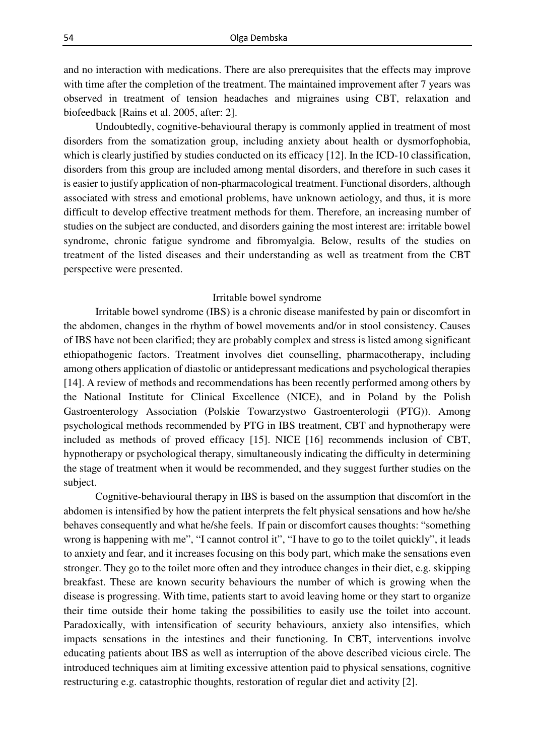and no interaction with medications. There are also prerequisites that the effects may improve with time after the completion of the treatment. The maintained improvement after 7 years was observed in treatment of tension headaches and migraines using CBT, relaxation and biofeedback [Rains et al. 2005, after: 2].

Undoubtedly, cognitive-behavioural therapy is commonly applied in treatment of most disorders from the somatization group, including anxiety about health or dysmorfophobia, which is clearly justified by studies conducted on its efficacy [12]. In the ICD-10 classification, disorders from this group are included among mental disorders, and therefore in such cases it is easier to justify application of non-pharmacological treatment. Functional disorders, although associated with stress and emotional problems, have unknown aetiology, and thus, it is more difficult to develop effective treatment methods for them. Therefore, an increasing number of studies on the subject are conducted, and disorders gaining the most interest are: irritable bowel syndrome, chronic fatigue syndrome and fibromyalgia. Below, results of the studies on treatment of the listed diseases and their understanding as well as treatment from the CBT perspective were presented.

#### Irritable bowel syndrome

Irritable bowel syndrome (IBS) is a chronic disease manifested by pain or discomfort in the abdomen, changes in the rhythm of bowel movements and/or in stool consistency. Causes of IBS have not been clarified; they are probably complex and stress is listed among significant ethiopathogenic factors. Treatment involves diet counselling, pharmacotherapy, including among others application of diastolic or antidepressant medications and psychological therapies [14]. A review of methods and recommendations has been recently performed among others by the National Institute for Clinical Excellence (NICE), and in Poland by the Polish Gastroenterology Association (Polskie Towarzystwo Gastroenterologii (PTG)). Among psychological methods recommended by PTG in IBS treatment, CBT and hypnotherapy were included as methods of proved efficacy [15]. NICE [16] recommends inclusion of CBT, hypnotherapy or psychological therapy, simultaneously indicating the difficulty in determining the stage of treatment when it would be recommended, and they suggest further studies on the subject.

Cognitive-behavioural therapy in IBS is based on the assumption that discomfort in the abdomen is intensified by how the patient interprets the felt physical sensations and how he/she behaves consequently and what he/she feels. If pain or discomfort causes thoughts: "something wrong is happening with me", "I cannot control it", "I have to go to the toilet quickly", it leads to anxiety and fear, and it increases focusing on this body part, which make the sensations even stronger. They go to the toilet more often and they introduce changes in their diet, e.g. skipping breakfast. These are known security behaviours the number of which is growing when the disease is progressing. With time, patients start to avoid leaving home or they start to organize their time outside their home taking the possibilities to easily use the toilet into account. Paradoxically, with intensification of security behaviours, anxiety also intensifies, which impacts sensations in the intestines and their functioning. In CBT, interventions involve educating patients about IBS as well as interruption of the above described vicious circle. The introduced techniques aim at limiting excessive attention paid to physical sensations, cognitive restructuring e.g. catastrophic thoughts, restoration of regular diet and activity [2].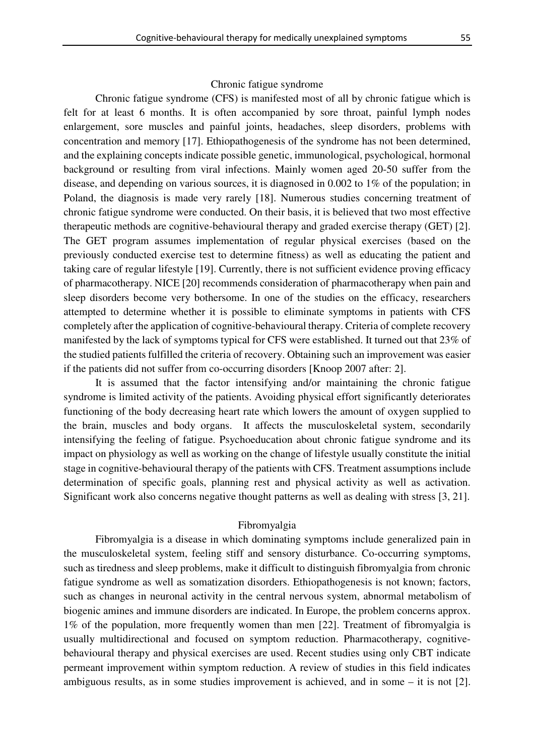## Chronic fatigue syndrome

Chronic fatigue syndrome (CFS) is manifested most of all by chronic fatigue which is felt for at least 6 months. It is often accompanied by sore throat, painful lymph nodes enlargement, sore muscles and painful joints, headaches, sleep disorders, problems with concentration and memory [17]. Ethiopathogenesis of the syndrome has not been determined, and the explaining concepts indicate possible genetic, immunological, psychological, hormonal background or resulting from viral infections. Mainly women aged 20-50 suffer from the disease, and depending on various sources, it is diagnosed in 0.002 to 1% of the population; in Poland, the diagnosis is made very rarely [18]. Numerous studies concerning treatment of chronic fatigue syndrome were conducted. On their basis, it is believed that two most effective therapeutic methods are cognitive-behavioural therapy and graded exercise therapy (GET) [2]. The GET program assumes implementation of regular physical exercises (based on the previously conducted exercise test to determine fitness) as well as educating the patient and taking care of regular lifestyle [19]. Currently, there is not sufficient evidence proving efficacy of pharmacotherapy. NICE [20] recommends consideration of pharmacotherapy when pain and sleep disorders become very bothersome. In one of the studies on the efficacy, researchers attempted to determine whether it is possible to eliminate symptoms in patients with CFS completely after the application of cognitive-behavioural therapy. Criteria of complete recovery manifested by the lack of symptoms typical for CFS were established. It turned out that 23% of the studied patients fulfilled the criteria of recovery. Obtaining such an improvement was easier if the patients did not suffer from co-occurring disorders [Knoop 2007 after: 2].

It is assumed that the factor intensifying and/or maintaining the chronic fatigue syndrome is limited activity of the patients. Avoiding physical effort significantly deteriorates functioning of the body decreasing heart rate which lowers the amount of oxygen supplied to the brain, muscles and body organs. It affects the musculoskeletal system, secondarily intensifying the feeling of fatigue. Psychoeducation about chronic fatigue syndrome and its impact on physiology as well as working on the change of lifestyle usually constitute the initial stage in cognitive-behavioural therapy of the patients with CFS. Treatment assumptions include determination of specific goals, planning rest and physical activity as well as activation. Significant work also concerns negative thought patterns as well as dealing with stress [3, 21].

## Fibromyalgia

Fibromyalgia is a disease in which dominating symptoms include generalized pain in the musculoskeletal system, feeling stiff and sensory disturbance. Co-occurring symptoms, such as tiredness and sleep problems, make it difficult to distinguish fibromyalgia from chronic fatigue syndrome as well as somatization disorders. Ethiopathogenesis is not known; factors, such as changes in neuronal activity in the central nervous system, abnormal metabolism of biogenic amines and immune disorders are indicated. In Europe, the problem concerns approx. 1% of the population, more frequently women than men [22]. Treatment of fibromyalgia is usually multidirectional and focused on symptom reduction. Pharmacotherapy, cognitivebehavioural therapy and physical exercises are used. Recent studies using only CBT indicate permeant improvement within symptom reduction. A review of studies in this field indicates ambiguous results, as in some studies improvement is achieved, and in some – it is not [2].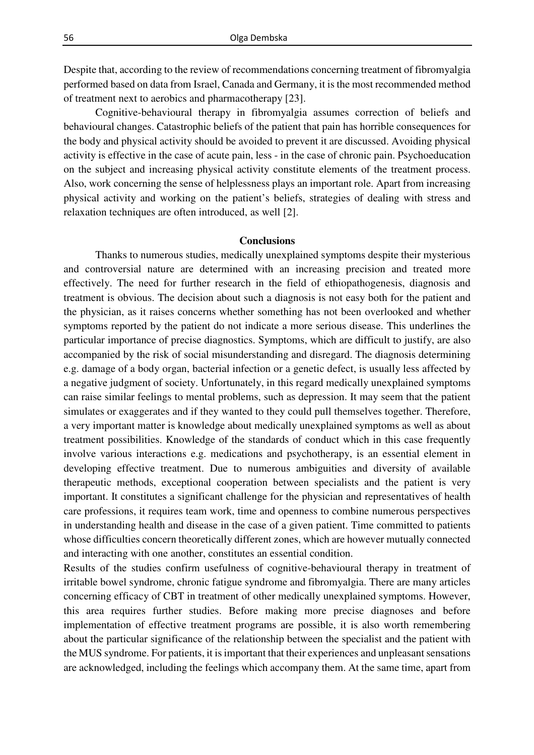Despite that, according to the review of recommendations concerning treatment of fibromyalgia performed based on data from Israel, Canada and Germany, it is the most recommended method of treatment next to aerobics and pharmacotherapy [23].

Cognitive-behavioural therapy in fibromyalgia assumes correction of beliefs and behavioural changes. Catastrophic beliefs of the patient that pain has horrible consequences for the body and physical activity should be avoided to prevent it are discussed. Avoiding physical activity is effective in the case of acute pain, less - in the case of chronic pain. Psychoeducation on the subject and increasing physical activity constitute elements of the treatment process. Also, work concerning the sense of helplessness plays an important role. Apart from increasing physical activity and working on the patient's beliefs, strategies of dealing with stress and relaxation techniques are often introduced, as well [2].

#### **Conclusions**

Thanks to numerous studies, medically unexplained symptoms despite their mysterious and controversial nature are determined with an increasing precision and treated more effectively. The need for further research in the field of ethiopathogenesis, diagnosis and treatment is obvious. The decision about such a diagnosis is not easy both for the patient and the physician, as it raises concerns whether something has not been overlooked and whether symptoms reported by the patient do not indicate a more serious disease. This underlines the particular importance of precise diagnostics. Symptoms, which are difficult to justify, are also accompanied by the risk of social misunderstanding and disregard. The diagnosis determining e.g. damage of a body organ, bacterial infection or a genetic defect, is usually less affected by a negative judgment of society. Unfortunately, in this regard medically unexplained symptoms can raise similar feelings to mental problems, such as depression. It may seem that the patient simulates or exaggerates and if they wanted to they could pull themselves together. Therefore, a very important matter is knowledge about medically unexplained symptoms as well as about treatment possibilities. Knowledge of the standards of conduct which in this case frequently involve various interactions e.g. medications and psychotherapy, is an essential element in developing effective treatment. Due to numerous ambiguities and diversity of available therapeutic methods, exceptional cooperation between specialists and the patient is very important. It constitutes a significant challenge for the physician and representatives of health care professions, it requires team work, time and openness to combine numerous perspectives in understanding health and disease in the case of a given patient. Time committed to patients whose difficulties concern theoretically different zones, which are however mutually connected and interacting with one another, constitutes an essential condition.

Results of the studies confirm usefulness of cognitive-behavioural therapy in treatment of irritable bowel syndrome, chronic fatigue syndrome and fibromyalgia. There are many articles concerning efficacy of CBT in treatment of other medically unexplained symptoms. However, this area requires further studies. Before making more precise diagnoses and before implementation of effective treatment programs are possible, it is also worth remembering about the particular significance of the relationship between the specialist and the patient with the MUS syndrome. For patients, it is important that their experiences and unpleasant sensations are acknowledged, including the feelings which accompany them. At the same time, apart from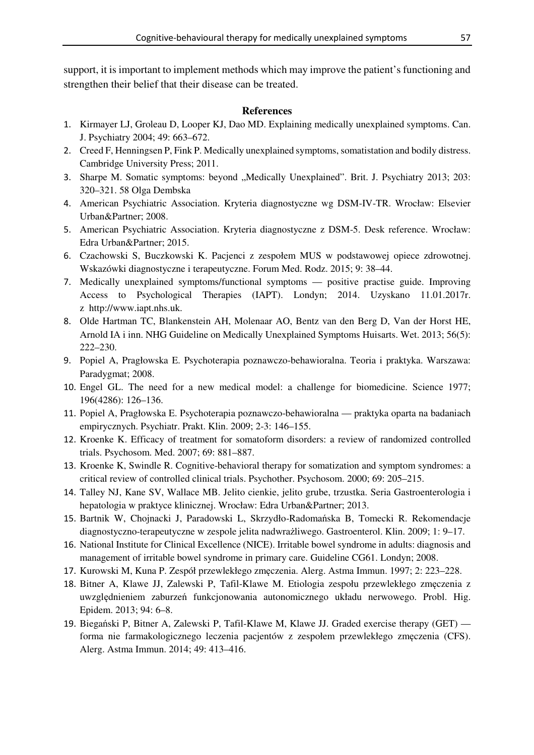support, it is important to implement methods which may improve the patient's functioning and strengthen their belief that their disease can be treated.

#### **References**

- 1. Kirmayer LJ, Groleau D, Looper KJ, Dao MD. Explaining medically unexplained symptoms. Can. J. Psychiatry 2004; 49: 663–672.
- 2. Creed F, Henningsen P, Fink P. Medically unexplained symptoms, somatistation and bodily distress. Cambridge University Press; 2011.
- 3. Sharpe M. Somatic symptoms: beyond "Medically Unexplained". Brit. J. Psychiatry 2013; 203: 320–321. 58 Olga Dembska
- 4. American Psychiatric Association. Kryteria diagnostyczne wg DSM-IV-TR. Wrocław: Elsevier Urban&Partner; 2008.
- 5. American Psychiatric Association. Kryteria diagnostyczne z DSM-5. Desk reference. Wrocław: Edra Urban&Partner; 2015.
- 6. Czachowski S, Buczkowski K. Pacjenci z zespołem MUS w podstawowej opiece zdrowotnej. Wskazówki diagnostyczne i terapeutyczne. Forum Med. Rodz. 2015; 9: 38–44.
- 7. Medically unexplained symptoms/functional symptoms positive practise guide. Improving Access to Psychological Therapies (IAPT). Londyn; 2014. Uzyskano 11.01.2017r. z\_http://www.iapt.nhs.uk.
- 8. Olde Hartman TC, Blankenstein AH, Molenaar AO, Bentz van den Berg D, Van der Horst HE, Arnold IA i inn. NHG Guideline on Medically Unexplained Symptoms Huisarts. Wet. 2013; 56(5): 222–230.
- 9. Popiel A, Pragłowska E. Psychoterapia poznawczo-behawioralna. Teoria i praktyka. Warszawa: Paradygmat; 2008.
- 10. Engel GL. The need for a new medical model: a challenge for biomedicine. Science 1977; 196(4286): 126–136.
- 11. Popiel A, Pragłowska E. Psychoterapia poznawczo-behawioralna praktyka oparta na badaniach empirycznych. Psychiatr. Prakt. Klin. 2009; 2-3: 146–155.
- 12. Kroenke K. Efficacy of treatment for somatoform disorders: a review of randomized controlled trials. Psychosom. Med. 2007; 69: 881–887.
- 13. Kroenke K, Swindle R. Cognitive-behavioral therapy for somatization and symptom syndromes: a critical review of controlled clinical trials. Psychother. Psychosom. 2000; 69: 205–215.
- 14. Talley NJ, Kane SV, Wallace MB. Jelito cienkie, jelito grube, trzustka. Seria Gastroenterologia i hepatologia w praktyce klinicznej. Wrocław: Edra Urban&Partner; 2013.
- 15. Bartnik W, Chojnacki J, Paradowski L, Skrzydło-Radomańska B, Tomecki R. Rekomendacje diagnostyczno-terapeutyczne w zespole jelita nadwrażliwego. Gastroenterol. Klin. 2009; 1: 9–17.
- 16. National Institute for Clinical Excellence (NICE). Irritable bowel syndrome in adults: diagnosis and management of irritable bowel syndrome in primary care. Guideline CG61. Londyn; 2008.
- 17. Kurowski M, Kuna P. Zespół przewlekłego zmęczenia. Alerg. Astma Immun. 1997; 2: 223–228.
- 18. Bitner A, Klawe JJ, Zalewski P, Tafil-Klawe M. Etiologia zespołu przewlekłego zmęczenia z uwzględnieniem zaburzeń funkcjonowania autonomicznego układu nerwowego. Probl. Hig. Epidem. 2013; 94: 6–8.
- 19. Biegański P, Bitner A, Zalewski P, Tafil-Klawe M, Klawe JJ. Graded exercise therapy (GET) forma nie farmakologicznego leczenia pacjentów z zespołem przewlekłego zmęczenia (CFS). Alerg. Astma Immun. 2014; 49: 413–416.